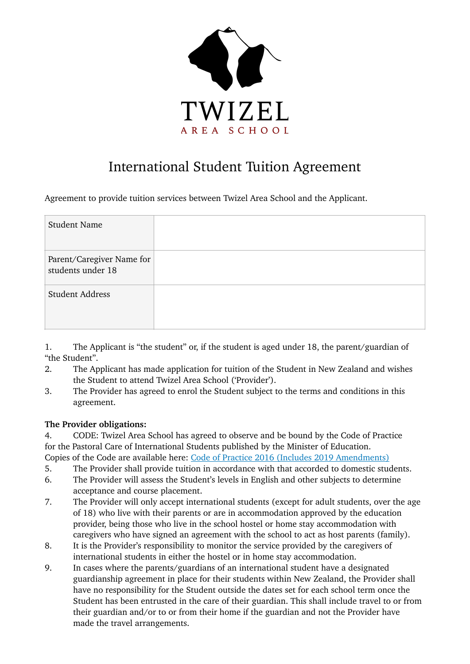

# International Student Tuition Agreement

Agreement to provide tuition services between Twizel Area School and the Applicant.

| <b>Student Name</b>                            |  |
|------------------------------------------------|--|
| Parent/Caregiver Name for<br>students under 18 |  |
| <b>Student Address</b>                         |  |

1. The Applicant is "the student" or, if the student is aged under 18, the parent/guardian of "the Student".

- 2. The Applicant has made application for tuition of the Student in New Zealand and wishes the Student to attend Twizel Area School ('Provider').
- 3. The Provider has agreed to enrol the Student subject to the terms and conditions in this agreement.

# **The Provider obligations:**

- 4. CODE: Twizel Area School has agreed to observe and be bound by the Code of Practice for the Pastoral Care of International Students published by the Minister of Education.
- Copies of the Code are available here: [Code of Practice 2016 \(Includes 2019 Amendments\)](https://www.nzqa.govt.nz/assets/Providers-and-partners/Code-of-Practice/Code-of-Practice-Amendments-2019.pdf)
- 5. The Provider shall provide tuition in accordance with that accorded to domestic students.
- 6. The Provider will assess the Student's levels in English and other subjects to determine acceptance and course placement.
- 7. The Provider will only accept international students (except for adult students, over the age of 18) who live with their parents or are in accommodation approved by the education provider, being those who live in the school hostel or home stay accommodation with caregivers who have signed an agreement with the school to act as host parents (family).
- 8. It is the Provider's responsibility to monitor the service provided by the caregivers of international students in either the hostel or in home stay accommodation.
- 9. In cases where the parents/guardians of an international student have a designated guardianship agreement in place for their students within New Zealand, the Provider shall have no responsibility for the Student outside the dates set for each school term once the Student has been entrusted in the care of their guardian. This shall include travel to or from their guardian and/or to or from their home if the guardian and not the Provider have made the travel arrangements.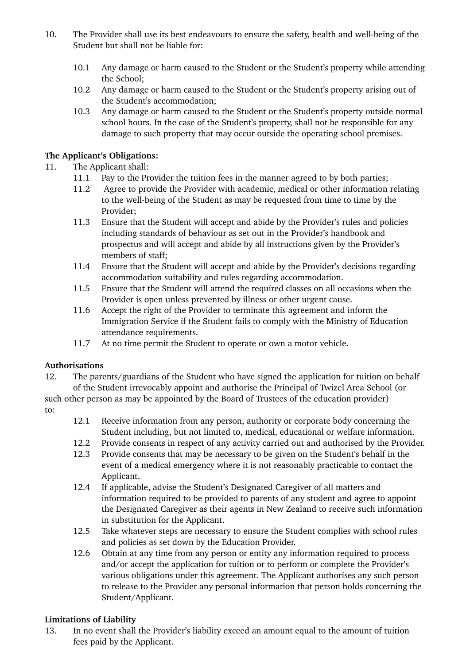- 10. The Provider shall use its best endeavours to ensure the safety, health and well-being of the Student but shall not be liable for:
	- 10.1 Any damage or harm caused to the Student or the Student's property while attending the School;
	- 10.2 Any damage or harm caused to the Student or the Student's property arising out of the Student's accommodation;
	- 10.3 Any damage or harm caused to the Student or the Student's property outside normal school hours. In the case of the Student's property, shall not be responsible for any damage to such property that may occur outside the operating school premises.

# **The Applicant's Obligations:**

# 11. The Applicant shall:

- 11.1 Pay to the Provider the tuition fees in the manner agreed to by both parties;
- 11.2 Agree to provide the Provider with academic, medical or other information relating to the well-being of the Student as may be requested from time to time by the Provider;
- 11.3 Ensure that the Student will accept and abide by the Provider's rules and policies including standards of behaviour as set out in the Provider's handbook and prospectus and will accept and abide by all instructions given by the Provider's members of staff;
- 11.4 Ensure that the Student will accept and abide by the Provider's decisions regarding accommodation suitability and rules regarding accommodation.
- 11.5 Ensure that the Student will attend the required classes on all occasions when the Provider is open unless prevented by illness or other urgent cause.
- 11.6 Accept the right of the Provider to terminate this agreement and inform the Immigration Service if the Student fails to comply with the Ministry of Education attendance requirements.
- 11.7 At no time permit the Student to operate or own a motor vehicle.

# **Authorisations**

12. The parents/guardians of the Student who have signed the application for tuition on behalf of the Student irrevocably appoint and authorise the Principal of Twizel Area School (or such other person as may be appointed by the Board of Trustees of the education provider)

- to:
- 12.1 Receive information from any person, authority or corporate body concerning the Student including, but not limited to, medical, educational or welfare information.
- 12.2 Provide consents in respect of any activity carried out and authorised by the Provider.
- 12.3 Provide consents that may be necessary to be given on the Student's behalf in the event of a medical emergency where it is not reasonably practicable to contact the Applicant.
- 12.4 If applicable, advise the Student's Designated Caregiver of all matters and information required to be provided to parents of any student and agree to appoint the Designated Caregiver as their agents in New Zealand to receive such information in substitution for the Applicant.
- 12.5 Take whatever steps are necessary to ensure the Student complies with school rules and policies as set down by the Education Provider.
- 12.6 Obtain at any time from any person or entity any information required to process and/or accept the application for tuition or to perform or complete the Provider's various obligations under this agreement. The Applicant authorises any such person to release to the Provider any personal information that person holds concerning the Student/Applicant.

# **Limitations of Liability**

13. In no event shall the Provider's liability exceed an amount equal to the amount of tuition fees paid by the Applicant.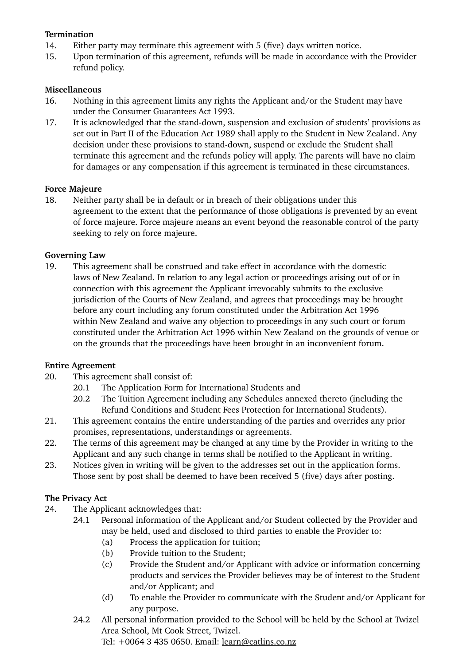# **Termination**

- 14. Either party may terminate this agreement with 5 (five) days written notice.
- 15. Upon termination of this agreement, refunds will be made in accordance with the Provider refund policy.

#### **Miscellaneous**

- 16. Nothing in this agreement limits any rights the Applicant and/or the Student may have under the Consumer Guarantees Act 1993.
- 17. It is acknowledged that the stand-down, suspension and exclusion of students' provisions as set out in Part II of the Education Act 1989 shall apply to the Student in New Zealand. Any decision under these provisions to stand-down, suspend or exclude the Student shall terminate this agreement and the refunds policy will apply. The parents will have no claim for damages or any compensation if this agreement is terminated in these circumstances.

#### **Force Majeure**

18. Neither party shall be in default or in breach of their obligations under this agreement to the extent that the performance of those obligations is prevented by an event of force majeure. Force majeure means an event beyond the reasonable control of the party seeking to rely on force majeure.

#### **Governing Law**

19. This agreement shall be construed and take effect in accordance with the domestic laws of New Zealand. In relation to any legal action or proceedings arising out of or in connection with this agreement the Applicant irrevocably submits to the exclusive jurisdiction of the Courts of New Zealand, and agrees that proceedings may be brought before any court including any forum constituted under the Arbitration Act 1996 within New Zealand and waive any objection to proceedings in any such court or forum constituted under the Arbitration Act 1996 within New Zealand on the grounds of venue or on the grounds that the proceedings have been brought in an inconvenient forum.

#### **Entire Agreement**

- 20. This agreement shall consist of:
	- 20.1 The Application Form for International Students and
	- 20.2 The Tuition Agreement including any Schedules annexed thereto (including the Refund Conditions and Student Fees Protection for International Students).
- 21. This agreement contains the entire understanding of the parties and overrides any prior promises, representations, understandings or agreements.
- 22. The terms of this agreement may be changed at any time by the Provider in writing to the Applicant and any such change in terms shall be notified to the Applicant in writing.
- 23. Notices given in writing will be given to the addresses set out in the application forms. Those sent by post shall be deemed to have been received 5 (five) days after posting.

# **The Privacy Act**

- 24. The Applicant acknowledges that:
	- 24.1 Personal information of the Applicant and/or Student collected by the Provider and may be held, used and disclosed to third parties to enable the Provider to:
		- (a) Process the application for tuition;
		- (b) Provide tuition to the Student;
		- (c) Provide the Student and/or Applicant with advice or information concerning products and services the Provider believes may be of interest to the Student and/or Applicant; and
		- (d) To enable the Provider to communicate with the Student and/or Applicant for any purpose.
	- 24.2 All personal information provided to the School will be held by the School at Twizel Area School, Mt Cook Street, Twizel. Tel: +0064 3 435 0650. Email: [learn@catlins.co.nz](mailto:learn@catlins.co.nz)